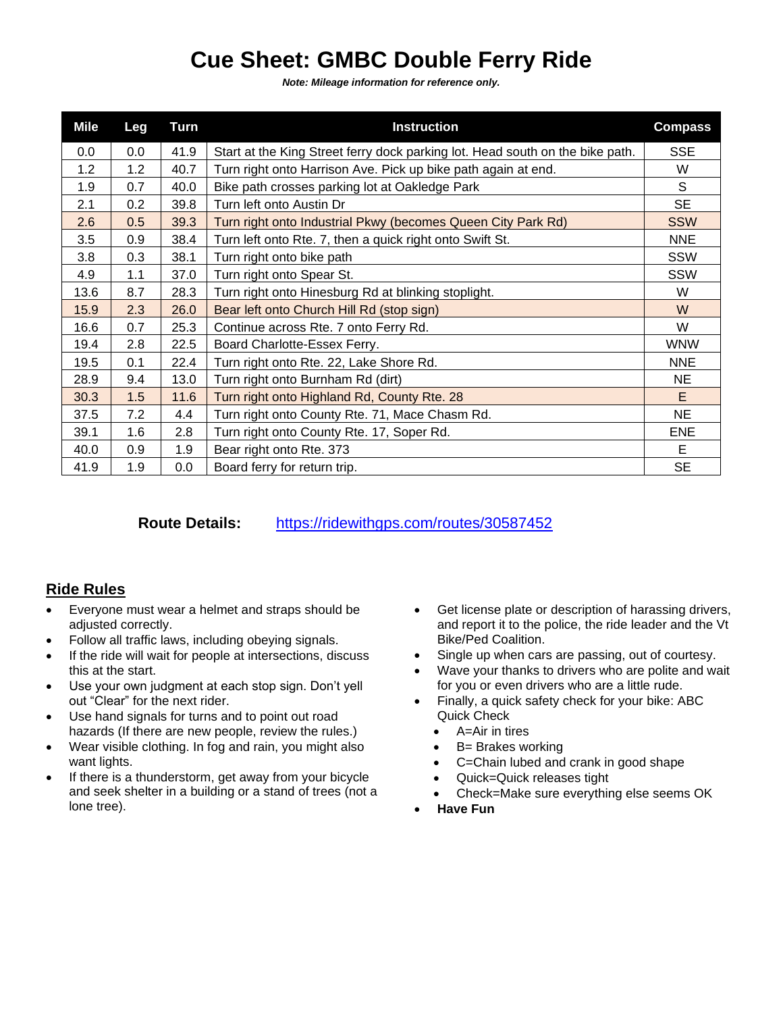## **Cue Sheet: GMBC Double Ferry Ride**

*Note: Mileage information for reference only.*

| <b>Mile</b> | Leg | Turn | <b>Instruction</b>                                                            | <b>Compass</b> |
|-------------|-----|------|-------------------------------------------------------------------------------|----------------|
| 0.0         | 0.0 | 41.9 | Start at the King Street ferry dock parking lot. Head south on the bike path. | <b>SSE</b>     |
| 1.2         | 1.2 | 40.7 | Turn right onto Harrison Ave. Pick up bike path again at end.                 | W              |
| 1.9         | 0.7 | 40.0 | Bike path crosses parking lot at Oakledge Park                                | S              |
| 2.1         | 0.2 | 39.8 | Turn left onto Austin Dr                                                      | <b>SE</b>      |
| 2.6         | 0.5 | 39.3 | Turn right onto Industrial Pkwy (becomes Queen City Park Rd)                  | <b>SSW</b>     |
| 3.5         | 0.9 | 38.4 | Turn left onto Rte. 7, then a quick right onto Swift St.                      | <b>NNE</b>     |
| 3.8         | 0.3 | 38.1 | Turn right onto bike path                                                     | <b>SSW</b>     |
| 4.9         | 1.1 | 37.0 | Turn right onto Spear St.                                                     | <b>SSW</b>     |
| 13.6        | 8.7 | 28.3 | Turn right onto Hinesburg Rd at blinking stoplight.                           | W              |
| 15.9        | 2.3 | 26.0 | Bear left onto Church Hill Rd (stop sign)                                     | W              |
| 16.6        | 0.7 | 25.3 | Continue across Rte. 7 onto Ferry Rd.                                         | W              |
| 19.4        | 2.8 | 22.5 | Board Charlotte-Essex Ferry.                                                  | <b>WNW</b>     |
| 19.5        | 0.1 | 22.4 | Turn right onto Rte. 22, Lake Shore Rd.                                       | <b>NNE</b>     |
| 28.9        | 9.4 | 13.0 | Turn right onto Burnham Rd (dirt)                                             | <b>NE</b>      |
| 30.3        | 1.5 | 11.6 | Turn right onto Highland Rd, County Rte. 28                                   | E              |
| 37.5        | 7.2 | 4.4  | Turn right onto County Rte. 71, Mace Chasm Rd.                                | <b>NE</b>      |
| 39.1        | 1.6 | 2.8  | Turn right onto County Rte. 17, Soper Rd.                                     | <b>ENE</b>     |
| 40.0        | 0.9 | 1.9  | Bear right onto Rte. 373                                                      | Е              |
| 41.9        | 1.9 | 0.0  | Board ferry for return trip.                                                  | <b>SE</b>      |

**Route Details:** <https://ridewithgps.com/routes/30587452>

## **Ride Rules**

- Everyone must wear a helmet and straps should be adjusted correctly.
- Follow all traffic laws, including obeying signals.
- If the ride will wait for people at intersections, discuss this at the start.
- Use your own judgment at each stop sign. Don't yell out "Clear" for the next rider.
- Use hand signals for turns and to point out road hazards (If there are new people, review the rules.)
- Wear visible clothing. In fog and rain, you might also want lights.
- If there is a thunderstorm, get away from your bicycle and seek shelter in a building or a stand of trees (not a lone tree).
- Get license plate or description of harassing drivers, and report it to the police, the ride leader and the Vt Bike/Ped Coalition.
- Single up when cars are passing, out of courtesy.
- Wave your thanks to drivers who are polite and wait for you or even drivers who are a little rude.
- Finally, a quick safety check for your bike: ABC Quick Check
	- A=Air in tires
	- B= Brakes working
	- C=Chain lubed and crank in good shape
	- Quick=Quick releases tight
	- Check=Make sure everything else seems OK
- **Have Fun**